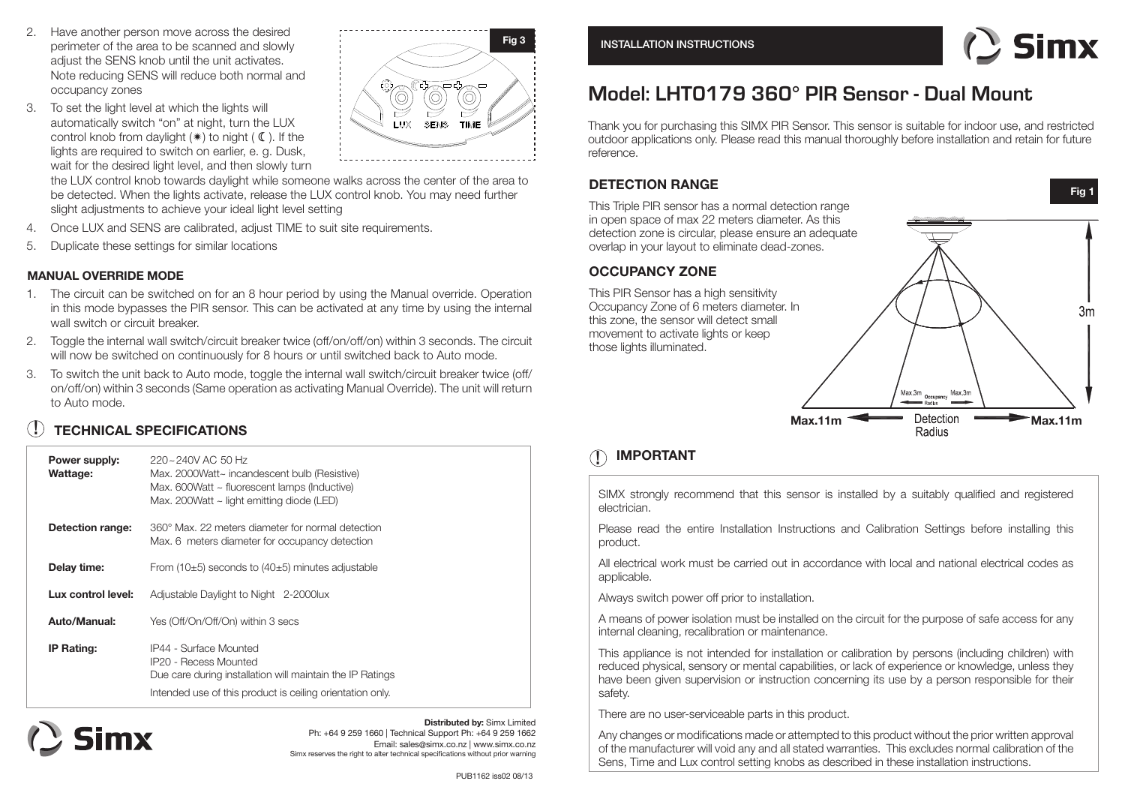- 2. Have another person move across the desired perimeter of the area to be scanned and slowly adjust the SENS knob until the unit activates. Note reducing SENS will reduce both normal and occupancy zones
- 3. To set the light level at which the lights will automatically switch "on" at night, turn the LUX control knob from daylight  $(*)$  to night  $(\mathbb{C})$ . If the lights are required to switch on earlier, e. g. Dusk, wait for the desired light level, and then slowly turn

**Fig 3**Õ Ç (Ŏ **LUX** SENS TIME

the LUX control knob towards daylight while someone walks across the center of the area to be detected. When the lights activate, release the LUX control knob. You may need further slight adjustments to achieve your ideal light level setting

- 4. Once LUX and SENS are calibrated, adjust TIME to suit site requirements.
- 5. Duplicate these settings for similar locations

#### **MANUAL OVERRIDE MODE**

- 1. The circuit can be switched on for an 8 hour period by using the Manual override. Operation in this mode bypasses the PIR sensor. This can be activated at any time by using the internal wall switch or circuit breaker.
- 2. Toggle the internal wall switch/circuit breaker twice (off/on/off/on) within 3 seconds. The circuit will now be switched on continuously for 8 hours or until switched back to Auto mode.
- 3. To switch the unit back to Auto mode, toggle the internal wall switch/circuit breaker twice (off/ on/off/on) within 3 seconds (Same operation as activating Manual Override). The unit will return to Auto mode.

# **! TECHNICAL SPECIFICATIONS**

| Power supply:<br>Wattage: | 220~240V AC 50 Hz<br>Max. 2000Watt~ incandescent bulb (Resistive)<br>Max. 600Watt $\sim$ fluorescent lamps (Inductive)<br>Max. 200Watt $\sim$ light emitting diode (LED)         |
|---------------------------|----------------------------------------------------------------------------------------------------------------------------------------------------------------------------------|
| Detection range:          | 360° Max. 22 meters diameter for normal detection<br>Max. 6 meters diameter for occupancy detection                                                                              |
| Delay time:               | From (10 $\pm$ 5) seconds to (40 $\pm$ 5) minutes adjustable                                                                                                                     |
| Lux control level:        | Adjustable Daylight to Night 2-2000lux                                                                                                                                           |
| Auto/Manual:              | Yes (Off/On/Off/On) within 3 secs                                                                                                                                                |
| <b>IP Rating:</b>         | IP44 - Surface Mounted<br><b>IP20 - Recess Mounted</b><br>Due care during installation will maintain the IP Ratings<br>Intended use of this product is ceiling orientation only. |



**Distributed by:** Simx Limited Ph: +64 9 259 1660 | Technical Support Ph: +64 9 259 1662 Email: sales@simx.co.nz | www.simx.co.nz Simx reserves the right to alter technical specifications without prior warning



**Fig 1**

# **Model: LHT0179 360° PIR Sensor - Dual Mount**

Thank you for purchasing this SIMX PIR Sensor. This sensor is suitable for indoor use, and restricted outdoor applications only. Please read this manual thoroughly before installation and retain for future reference.

#### **DETECTION RANGE**

This Triple PIR sensor has a normal detection range in open space of max 22 meters diameter. As this detection zone is circular, please ensure an adequate overlap in your layout to eliminate dead-zones.

#### **OCCUPANCY ZONE**

This PIR Sensor has a high sensitivity Occupancy Zone of 6 meters diameter. In this zone, the sensor will detect small movement to activate lights or keep those lights illuminated.



# **IMPORTANT !**

SIMX strongly recommend that this sensor is installed by a suitably qualified and registered electrician.

Please read the entire Installation Instructions and Calibration Settings before installing this product.

All electrical work must be carried out in accordance with local and national electrical codes as applicable.

Always switch power off prior to installation.

A means of power isolation must be installed on the circuit for the purpose of safe access for any internal cleaning, recalibration or maintenance.

This appliance is not intended for installation or calibration by persons (including children) with reduced physical, sensory or mental capabilities, or lack of experience or knowledge, unless they have been given supervision or instruction concerning its use by a person responsible for their safety.

There are no user-serviceable parts in this product.

Any changes or modifications made or attempted to this product without the prior written approval of the manufacturer will void any and all stated warranties. This excludes normal calibration of the Sens, Time and Lux control setting knobs as described in these installation instructions.